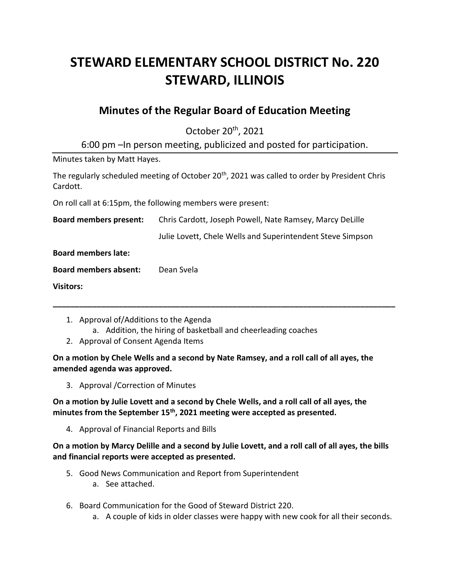# **STEWARD ELEMENTARY SCHOOL DISTRICT No. 220 STEWARD, ILLINOIS**

## **Minutes of the Regular Board of Education Meeting**

October 20<sup>th</sup>, 2021

6:00 pm –In person meeting, publicized and posted for participation.

Minutes taken by Matt Hayes.

The regularly scheduled meeting of October 20<sup>th</sup>, 2021 was called to order by President Chris Cardott.

On roll call at 6:15pm, the following members were present:

**Board members present:** Chris Cardott, Joseph Powell, Nate Ramsey, Marcy DeLille Julie Lovett, Chele Wells and Superintendent Steve Simpson **Board members late: Board members absent:** Dean Svela **Visitors:**

**\_\_\_\_\_\_\_\_\_\_\_\_\_\_\_\_\_\_\_\_\_\_\_\_\_\_\_\_\_\_\_\_\_\_\_\_\_\_\_\_\_\_\_\_\_\_\_\_\_\_\_\_\_\_\_\_\_\_\_\_\_\_\_\_\_\_\_\_\_\_\_\_\_\_\_\_\_\_**

- 1. Approval of/Additions to the Agenda
	- a. Addition, the hiring of basketball and cheerleading coaches
- 2. Approval of Consent Agenda Items

**On a motion by Chele Wells and a second by Nate Ramsey, and a roll call of all ayes, the amended agenda was approved.**

3. Approval /Correction of Minutes

**On a motion by Julie Lovett and a second by Chele Wells, and a roll call of all ayes, the minutes from the September 15th, 2021 meeting were accepted as presented.**

4. Approval of Financial Reports and Bills

**On a motion by Marcy Delille and a second by Julie Lovett, and a roll call of all ayes, the bills and financial reports were accepted as presented.**

- 5. Good News Communication and Report from Superintendent
	- a. See attached.
- 6. Board Communication for the Good of Steward District 220.
	- a. A couple of kids in older classes were happy with new cook for all their seconds.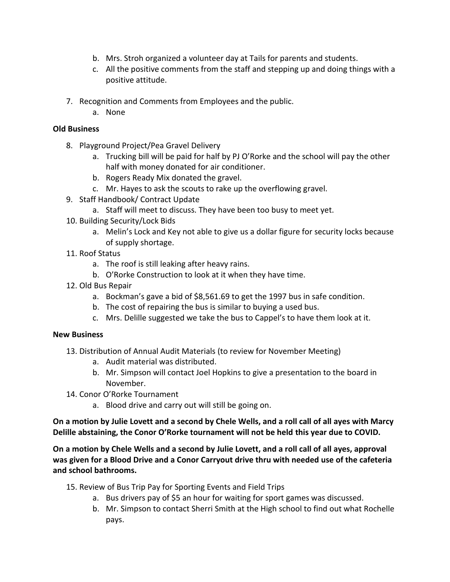- b. Mrs. Stroh organized a volunteer day at Tails for parents and students.
- c. All the positive comments from the staff and stepping up and doing things with a positive attitude.
- 7. Recognition and Comments from Employees and the public.
	- a. None

### **Old Business**

- 8. Playground Project/Pea Gravel Delivery
	- a. Trucking bill will be paid for half by PJ O'Rorke and the school will pay the other half with money donated for air conditioner.
	- b. Rogers Ready Mix donated the gravel.
	- c. Mr. Hayes to ask the scouts to rake up the overflowing gravel.
- 9. Staff Handbook/ Contract Update
	- a. Staff will meet to discuss. They have been too busy to meet yet.
- 10. Building Security/Lock Bids
	- a. Melin's Lock and Key not able to give us a dollar figure for security locks because of supply shortage.
- 11. Roof Status
	- a. The roof is still leaking after heavy rains.
	- b. O'Rorke Construction to look at it when they have time.
- 12. Old Bus Repair
	- a. Bockman's gave a bid of \$8,561.69 to get the 1997 bus in safe condition.
	- b. The cost of repairing the bus is similar to buying a used bus.
	- c. Mrs. Delille suggested we take the bus to Cappel's to have them look at it.

### **New Business**

- 13. Distribution of Annual Audit Materials (to review for November Meeting)
	- a. Audit material was distributed.
	- b. Mr. Simpson will contact Joel Hopkins to give a presentation to the board in November.
- 14. Conor O'Rorke Tournament
	- a. Blood drive and carry out will still be going on.

**On a motion by Julie Lovett and a second by Chele Wells, and a roll call of all ayes with Marcy Delille abstaining, the Conor O'Rorke tournament will not be held this year due to COVID.**

**On a motion by Chele Wells and a second by Julie Lovett, and a roll call of all ayes, approval was given for a Blood Drive and a Conor Carryout drive thru with needed use of the cafeteria and school bathrooms.**

- 15. Review of Bus Trip Pay for Sporting Events and Field Trips
	- a. Bus drivers pay of \$5 an hour for waiting for sport games was discussed.
	- b. Mr. Simpson to contact Sherri Smith at the High school to find out what Rochelle pays.